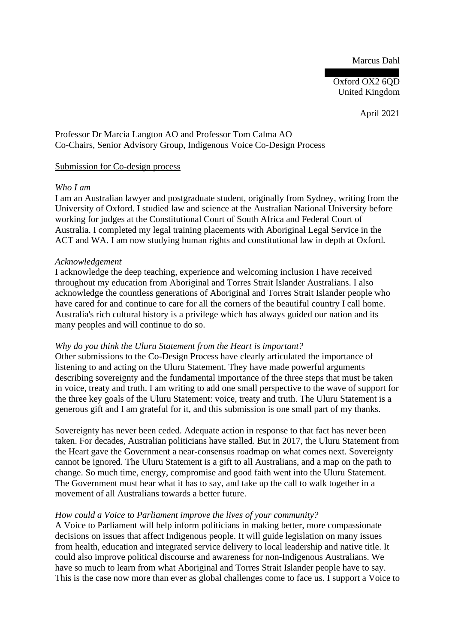Marcus Dahl

 $Ox$  ford  $OX2$  6 $O$ D United Kingdom

April 2021

Professor Dr Marcia Langton AO and Professor Tom Calma AO Co-Chairs, Senior Advisory Group, Indigenous Voice Co-Design Process

## Submission for Co-design process

#### *Who I am*

I am an Australian lawyer and postgraduate student, originally from Sydney, writing from the University of Oxford. I studied law and science at the Australian National University before working for judges at the Constitutional Court of South Africa and Federal Court of Australia. I completed my legal training placements with Aboriginal Legal Service in the ACT and WA. I am now studying human rights and constitutional law in depth at Oxford.

#### *Acknowledgement*

I acknowledge the deep teaching, experience and welcoming inclusion I have received throughout my education from Aboriginal and Torres Strait Islander Australians. I also acknowledge the countless generations of Aboriginal and Torres Strait Islander people who have cared for and continue to care for all the corners of the beautiful country I call home. Australia's rich cultural history is a privilege which has always guided our nation and its many peoples and will continue to do so.

## *Why do you think the Uluru Statement from the Heart is important?*

Other submissions to the Co-Design Process have clearly articulated the importance of listening to and acting on the Uluru Statement. They have made powerful arguments describing sovereignty and the fundamental importance of the three steps that must be taken in voice, treaty and truth. I am writing to add one small perspective to the wave of support for the three key goals of the Uluru Statement: voice, treaty and truth. The Uluru Statement is a generous gift and I am grateful for it, and this submission is one small part of my thanks.

Sovereignty has never been ceded. Adequate action in response to that fact has never been taken. For decades, Australian politicians have stalled. But in 2017, the Uluru Statement from the Heart gave the Government a near-consensus roadmap on what comes next. Sovereignty cannot be ignored. The Uluru Statement is a gift to all Australians, and a map on the path to change. So much time, energy, compromise and good faith went into the Uluru Statement. The Government must hear what it has to say, and take up the call to walk together in a movement of all Australians towards a better future.

## *How could a Voice to Parliament improve the lives of your community?*

A Voice to Parliament will help inform politicians in making better, more compassionate decisions on issues that affect Indigenous people. It will guide legislation on many issues from health, education and integrated service delivery to local leadership and native title. It could also improve political discourse and awareness for non-Indigenous Australians. We have so much to learn from what Aboriginal and Torres Strait Islander people have to say. This is the case now more than ever as global challenges come to face us. I support a Voice to